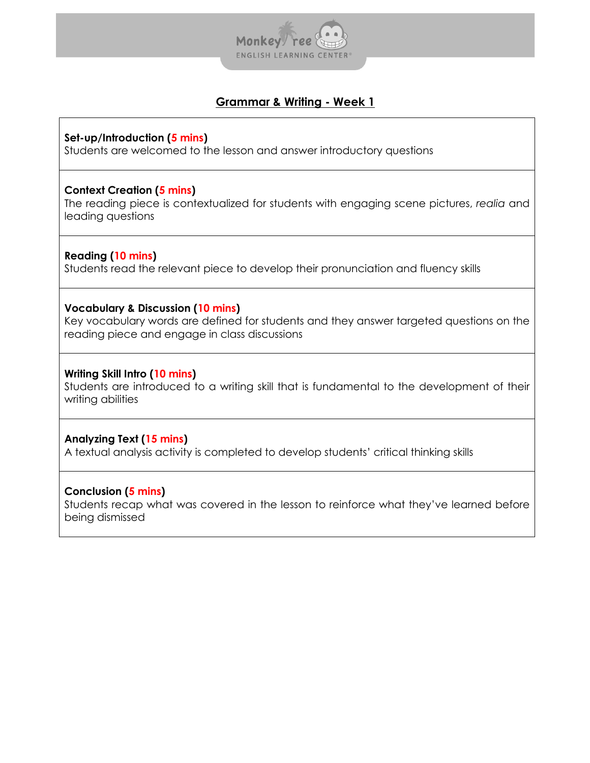

**Set-up/Introduction (5 mins)**

Students are welcomed to the lesson and answer introductory questions

#### **Context Creation (5 mins)**

The reading piece is contextualized for students with engaging scene pictures, *realia* and leading questions

## **Reading (10 mins)**

Students read the relevant piece to develop their pronunciation and fluency skills

### **Vocabulary & Discussion (10 mins)**

Key vocabulary words are defined for students and they answer targeted questions on the reading piece and engage in class discussions

### **Writing Skill Intro (10 mins)**

Students are introduced to a writing skill that is fundamental to the development of their writing abilities

## **Analyzing Text (15 mins)**

A textual analysis activity is completed to develop students' critical thinking skills

#### **Conclusion (5 mins)**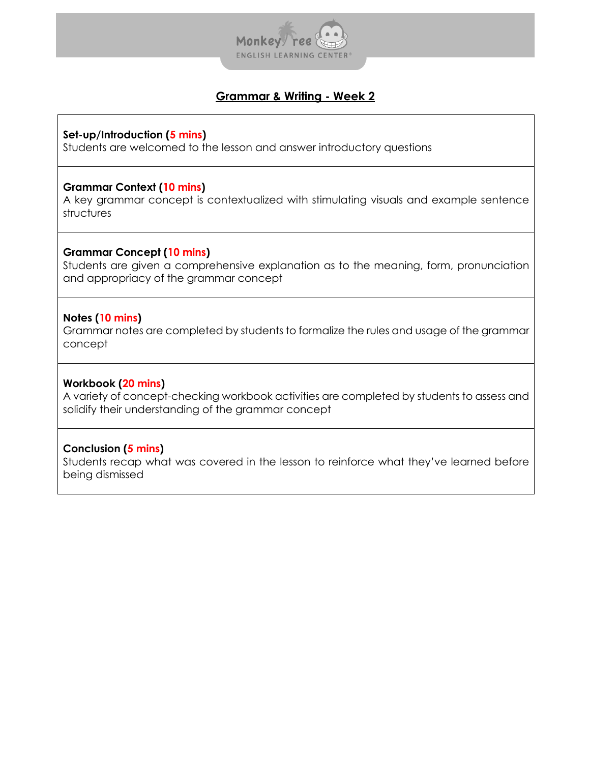

#### **Set-up/Introduction (5 mins)**

Students are welcomed to the lesson and answer introductory questions

#### **Grammar Context (10 mins)**

A key grammar concept is contextualized with stimulating visuals and example sentence structures

#### **Grammar Concept (10 mins)**

Students are given a comprehensive explanation as to the meaning, form, pronunciation and appropriacy of the grammar concept

#### **Notes (10 mins)**

Grammar notes are completed by students to formalize the rules and usage of the grammar concept

#### **Workbook (20 mins)**

A variety of concept-checking workbook activities are completed by students to assess and solidify their understanding of the grammar concept

#### **Conclusion (5 mins)**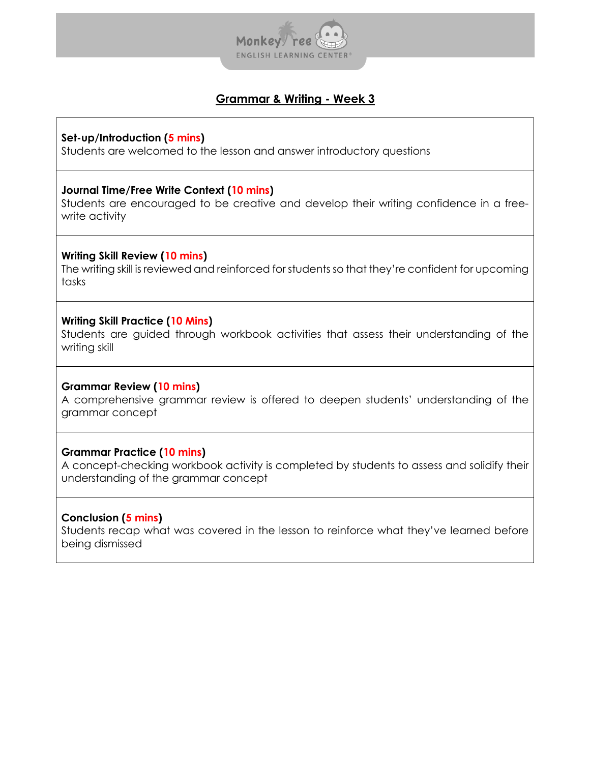

#### **Set-up/Introduction (5 mins)**

Students are welcomed to the lesson and answer introductory questions

#### **Journal Time/Free Write Context (10 mins)**

Students are encouraged to be creative and develop their writing confidence in a freewrite activity

### **Writing Skill Review (10 mins)**

The writing skill is reviewed and reinforced for students so that they're confident for upcoming tasks

### **Writing Skill Practice (10 Mins)**

Students are guided through workbook activities that assess their understanding of the writing skill

#### **Grammar Review (10 mins)**

A comprehensive grammar review is offered to deepen students' understanding of the grammar concept

## **Grammar Practice (10 mins)**

A concept-checking workbook activity is completed by students to assess and solidify their understanding of the grammar concept

## **Conclusion (5 mins)**